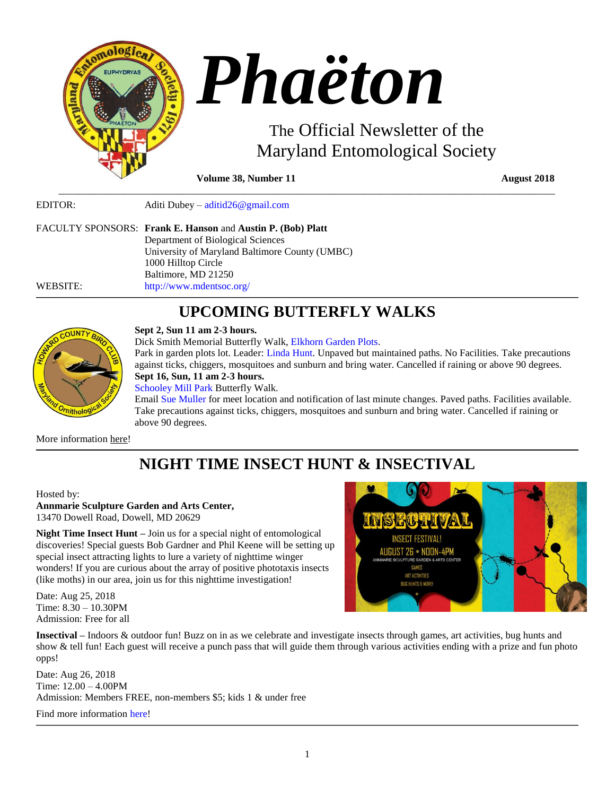

**Volume 38, Number 11** August 2018

EDITOR: Aditi Dubey – [aditid26@gmail.com](mailto:aditid26@gmail.com)

|          | FACULTY SPONSORS: Frank E. Hanson and Austin P. (Bob) Platt |
|----------|-------------------------------------------------------------|
|          | Department of Biological Sciences                           |
|          | University of Maryland Baltimore County (UMBC)              |
|          | 1000 Hilltop Circle                                         |
|          | Baltimore, MD 21250                                         |
| WEBSITE: | http://www.mdentsoc.org/                                    |

# **\_\_\_\_\_\_\_\_\_\_\_\_\_\_\_\_\_\_\_\_\_\_\_\_\_\_\_\_\_\_\_\_\_\_\_\_\_\_\_\_\_\_\_\_\_\_\_\_\_\_\_\_\_\_\_\_\_\_\_\_\_\_\_\_\_\_\_\_\_\_\_\_\_\_\_\_\_\_\_\_\_\_\_\_\_\_\_\_\_\_\_\_\_\_\_\_\_\_\_\_\_\_\_\_\_\_\_\_\_\_\_\_\_\_\_\_\_\_\_\_\_\_\_\_\_\_\_\_\_\_\_\_\_\_\_\_\_\_\_\_\_\_\_\_\_\_\_\_\_\_\_\_\_\_\_\_\_\_\_\_\_\_\_\_\_\_\_\_\_\_\_\_\_\_\_\_\_\_\_\_\_\_\_\_\_\_\_\_\_\_\_\_\_\_\_\_\_\_\_\_\_\_\_\_\_\_\_\_\_\_\_\_\_\_\_\_\_\_\_\_\_\_\_\_\_\_\_\_\_\_\_\_\_\_\_\_\_\_\_\_\_\_\_\_\_\_\_\_\_\_\_\_\_\_\_\_\_\_\_\_\_\_\_\_\_\_\_\_\_\_\_\_\_\_\_\_\_\_\_\_\_\_\_\_\_\_\_\_\_\_\_\_\_\_\_\_\_\_\_\_\_\_\_\_\_\_\_\_\_\_\_\_\_\_\_\_\_\_\_\_\_\_\_\_\_\_\_\_\_\_\_\_\_\_\_\_\_\_\_\_\_\_\_\_\_\_\_\_\_\_\_\_\_\_\_\_\_\_\_\_ UPCOMING BUTTERFLY WALKS**

\_\_\_\_\_\_\_\_\_\_\_\_\_\_\_\_\_\_\_\_\_\_\_\_\_\_\_\_\_\_\_\_\_\_\_\_\_\_\_\_\_\_\_\_\_\_\_\_\_\_\_\_\_\_\_\_\_\_\_\_\_\_\_\_\_\_\_\_\_\_\_\_\_\_\_\_\_\_\_\_\_\_\_\_\_\_\_\_\_\_\_\_\_\_\_\_\_\_\_



# **Sept 2, Sun 11 am 2-3 hours.**

Dick Smith Memorial Butterfly Walk, [Elkhorn Garden Plots.](http://www.howardbirds.org/birdinghowardcounty/EBgarden_plots/elkhorn_garden_plot_directions.htm)

Park in garden plots lot. Leader: [Linda Hunt.](mailto:raven10322@hotmail.com?subject=Butterfly%20Walk) Unpaved but maintained paths. No Facilities. Take precautions against ticks, chiggers, mosquitoes and sunburn and bring water. Cancelled if raining or above 90 degrees. **Sept 16, Sun, 11 am 2-3 hours.**

[Schooley Mill Park](http://www.howardbirds.org/birdinghowardcounty/SchooleyMill/schooley_mill_directions.htm) Butterfly Walk.

Email [Sue Muller](mailto:smuller@howard%20county.md.gov?subject=Butterfly%20Walk) for meet location and notification of last minute changes. Paved paths. Facilities available. Take precautions against ticks, chiggers, mosquitoes and sunburn and bring water. Cancelled if raining or above 90 degrees.

More information [here!](http://www.howardbirds.org/butterflies/)

# **\_\_\_\_\_\_\_\_\_\_\_\_\_\_\_\_\_\_\_\_\_\_\_\_\_\_\_\_\_\_\_\_\_\_\_\_\_\_\_\_\_\_\_\_\_\_\_\_\_\_\_\_\_\_\_\_\_\_\_\_\_\_\_\_\_\_\_\_\_\_\_\_\_\_\_\_\_\_\_\_\_\_\_\_\_\_\_\_\_\_\_\_\_\_\_\_\_\_\_\_\_\_\_\_\_\_\_\_\_\_\_\_\_\_\_\_\_\_\_\_\_\_\_\_\_\_\_\_\_\_\_\_\_\_\_\_\_\_\_\_\_\_\_\_\_\_\_\_\_\_\_\_\_\_\_\_\_\_\_\_\_\_\_\_\_\_\_\_\_\_\_\_\_\_\_\_\_\_\_\_\_\_\_\_\_\_\_\_\_\_\_\_\_\_\_\_\_\_\_\_\_\_\_\_\_\_\_\_\_\_\_\_\_\_\_\_\_\_\_\_\_\_\_\_\_\_\_\_\_\_\_\_\_\_\_\_\_\_\_\_\_\_\_\_\_\_\_\_\_\_\_\_\_\_\_\_\_\_\_\_\_\_\_\_\_\_\_\_\_\_\_\_\_\_\_\_\_\_\_\_\_\_\_\_\_\_\_\_\_\_\_\_\_\_\_\_\_\_\_\_\_\_\_\_\_\_\_\_\_\_\_\_\_\_\_\_\_\_\_\_\_\_\_\_\_\_\_\_\_\_\_\_\_\_\_\_\_\_\_\_\_\_\_\_\_\_\_\_\_\_\_\_\_\_\_\_\_\_\_\_ NIGHT TIME INSECT HUNT & INSECTIVAL**

Hosted by:

**Annmarie Sculpture Garden and Arts Center,** 13470 Dowell Road, Dowell, MD 20629

**Night Time Insect Hunt –** Join us for a special night of entomological discoveries! Special guests Bob Gardner and Phil Keene will be setting up special insect attracting lights to lure a variety of nighttime winger wonders! If you are curious about the array of positive phototaxis insects (like moths) in our area, join us for this nighttime investigation!

Date: Aug 25, 2018 Time: 8.30 – 10.30PM Admission: Free for all



**Insectival –** Indoors & outdoor fun! Buzz on in as we celebrate and investigate insects through games, art activities, bug hunts and show & tell fun! Each guest will receive a punch pass that will guide them through various activities ending with a prize and fun photo opps!

Date: Aug 26, 2018 Time: 12.00 – 4.00PM Admission: Members FREE, non-members \$5; kids 1 & under free

Find more information [here!](http://www.annmariegarden.org/annmarie2/content/insectival)

,我们就会不能让我们的事情。""我们的,我们就会不能让我们的事情。""我们的,我们就会不能让我们的事情。""我们的,我们就会不能让我们的事情。""我们的,我们就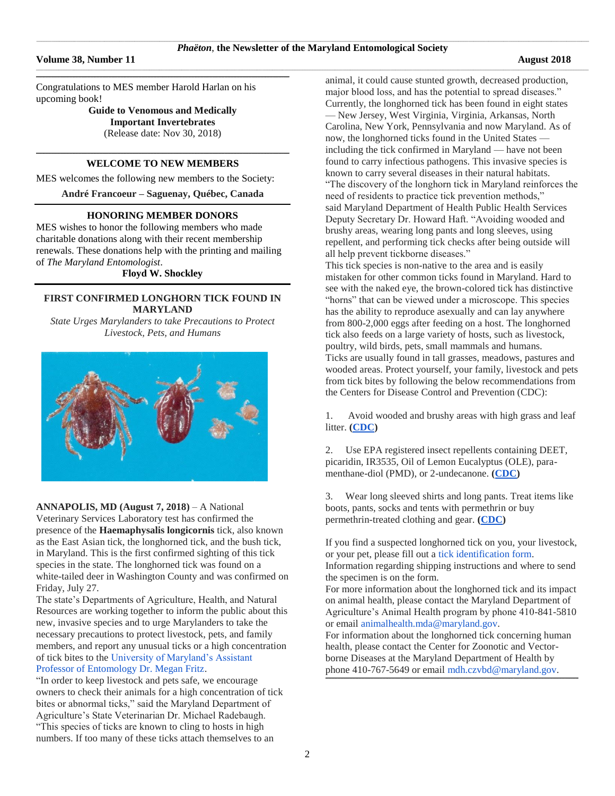Congratulations to MES member Harold Harlan on his upcoming book!

#### **Guide to Venomous and Medically Important Invertebrates**

**\_\_\_\_\_\_\_\_\_\_\_\_\_\_\_\_\_\_\_\_\_\_\_\_\_\_\_\_\_\_\_\_\_\_\_\_\_\_\_\_\_\_\_\_\_\_\_\_\_\_\_\_\_\_\_\_\_\_\_\_\_\_\_\_\_\_\_\_\_\_\_\_\_\_\_\_\_\_\_\_\_\_\_\_\_\_\_\_\_\_\_\_\_\_\_\_\_\_\_\_\_\_\_\_\_\_\_\_\_\_\_\_\_\_\_\_\_\_\_\_\_\_\_\_\_\_\_\_\_\_\_\_\_\_\_\_\_\_\_\_\_\_\_\_\_\_\_\_\_\_\_\_\_\_\_\_\_\_\_\_\_\_\_\_\_\_\_\_**

(Release date: Nov 30, 2018)

#### **\_\_\_\_\_\_\_\_\_\_\_\_\_\_\_\_\_\_\_\_\_\_\_\_\_\_\_\_\_\_\_\_\_\_\_\_\_\_\_\_\_\_\_\_\_\_\_\_\_\_\_\_\_\_\_\_\_\_\_\_\_\_\_\_\_\_\_\_\_\_\_\_\_\_\_\_\_\_\_\_\_\_\_\_\_\_\_\_\_\_\_\_\_\_\_\_\_\_\_\_\_\_\_\_\_\_\_\_\_\_\_\_\_\_\_\_\_\_\_\_\_\_\_\_\_\_\_\_\_\_\_\_\_\_\_\_\_\_\_\_\_\_\_\_\_\_\_\_\_\_\_\_\_\_\_\_\_\_\_\_\_\_\_\_\_\_\_\_ WELCOME TO NEW MEMBERS**

MES welcomes the following new members to the Society:

**André Francoeur – Saguenay, Québec, Canada**

#### **HONORING MEMBER DONORS**

MES wishes to honor the following members who made charitable donations along with their recent membership renewals. These donations help with the printing and mailing of *The Maryland Entomologist*.

#### **Floyd W. Shockley**

## **FIRST CONFIRMED LONGHORN TICK FOUND IN MARYLAND**

*State Urges Marylanders to take Precautions to Protect Livestock, Pets, and Humans*



**ANNAPOLIS, MD (August 7, 2018)** – A National

Veterinary Services Laboratory test has confirmed the presence of the **Haemaphysalis longicornis** tick, also known as the East Asian tick, the longhorned tick, and the bush tick, in Maryland. This is the first confirmed sighting of this tick species in the state. The longhorned tick was found on a white-tailed deer in Washington County and was confirmed on Friday, July 27.

The state's Departments of Agriculture, Health, and Natural Resources are working together to inform the public about this new, invasive species and to urge Marylanders to take the necessary precautions to protect livestock, pets, and family members, and report any unusual ticks or a high concentration of tick bites to the [University of Maryland's Assistant](https://phpa.health.maryland.gov/OIDEOR/CZVBD/Pages/Tick-Identification.aspx)  [Professor of Entomology Dr. Megan Fritz.](https://phpa.health.maryland.gov/OIDEOR/CZVBD/Pages/Tick-Identification.aspx)

"In order to keep livestock and pets safe, we encourage owners to check their animals for a high concentration of tick bites or abnormal ticks," said the Maryland Department of Agriculture's State Veterinarian Dr. Michael Radebaugh. "This species of ticks are known to cling to hosts in high numbers. If too many of these ticks attach themselves to an

animal, it could cause stunted growth, decreased production, major blood loss, and has the potential to spread diseases." Currently, the longhorned tick has been found in eight states — New Jersey, West Virginia, Virginia, Arkansas, North Carolina, New York, Pennsylvania and now Maryland. As of now, the longhorned ticks found in the United States including the tick confirmed in Maryland — have not been found to carry infectious pathogens. This invasive species is known to carry several diseases in their natural habitats. "The discovery of the longhorn tick in Maryland reinforces the need of residents to practice tick prevention methods," said Maryland Department of Health Public Health Services Deputy Secretary Dr. Howard Haft. "Avoiding wooded and brushy areas, wearing long pants and long sleeves, using repellent, and performing tick checks after being outside will all help prevent tickborne diseases." This tick species is non-native to the area and is easily

mistaken for other common ticks found in Maryland. Hard to see with the naked eye, the brown-colored tick has distinctive "horns" that can be viewed under a microscope. This species has the ability to reproduce asexually and can lay anywhere from 800-2,000 eggs after feeding on a host. The longhorned tick also feeds on a large variety of hosts, such as livestock, poultry, wild birds, pets, small mammals and humans. Ticks are usually found in tall grasses, meadows, pastures and wooded areas. Protect yourself, your family, livestock and pets from tick bites by following the below recommendations from the Centers for Disease Control and Prevention (CDC):

1. Avoid wooded and brushy areas with high grass and leaf litter. **[\(CDC\)](https://www.cdc.gov/ticks/avoid/on_people.html)**

2. Use EPA registered insect repellents containing DEET, picaridin, IR3535, Oil of Lemon Eucalyptus (OLE), paramenthane-diol (PMD), or 2-undecanone. **[\(CDC\)](https://www.cdc.gov/ncezid/dvbd/about/prevent-bites.html)**

3. Wear long sleeved shirts and long pants. Treat items like boots, pants, socks and tents with permethrin or buy permethrin-treated clothing and gear. **[\(CDC\)](https://www.cdc.gov/ncezid/dvbd/about/prevent-bites.html)**

If you find a suspected longhorned tick on you, your livestock, or your pet, please fill out a [tick identification form.](http://mda.maryland.gov/plants-pests/Documents/Tick-Identification-Form.pdf)

Information regarding shipping instructions and where to send the specimen is on the form.

For more information about the longhorned tick and its impact on animal health, please contact the Maryland Department of Agriculture's Animal Health program by phone 410-841-5810 or email [animalhealth.mda@maryland.gov.](mailto:animalhealth.mda@maryland.gov)

For information about the longhorned tick concerning human health, please contact the Center for Zoonotic and Vectorborne Diseases at the Maryland Department of Health by phone 410-767-5649 or email [mdh.czvbd@maryland.gov.](mailto:mdh.czvbd@maryland.gov) **\_\_\_\_\_\_\_\_\_\_\_\_\_\_\_\_\_\_\_\_\_\_\_\_\_\_\_\_\_\_\_\_\_\_\_\_\_\_\_\_\_\_\_\_\_\_\_\_\_\_\_\_\_\_\_\_\_\_\_\_\_\_\_\_\_\_\_\_\_\_\_\_\_\_\_\_\_\_\_\_\_\_\_\_\_\_\_\_\_\_\_\_\_\_\_\_\_\_\_\_\_\_\_\_\_\_\_\_\_\_\_\_\_\_\_\_\_\_\_\_\_\_\_\_\_\_\_\_\_\_\_\_\_\_\_\_\_\_\_\_\_\_\_\_\_\_\_\_\_\_\_\_\_\_\_\_\_\_\_\_\_\_\_\_\_\_\_\_**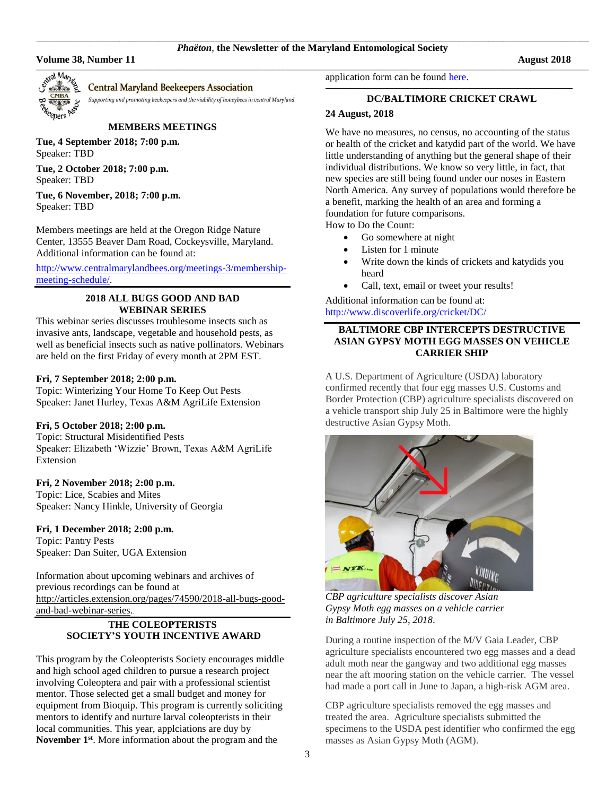## **Volume 38, Number 11** August 2018

### **Central Maryland Beekeepers Association**

Supporting and promoting beekeepers and the viability of honeybees in central Maryland

### **MEMBERS MEETINGS**

**Tue, 4 September 2018; 7:00 p.m.**  Speaker: TBD

**Tue, 2 October 2018; 7:00 p.m.** Speaker: TBD

**Tue, 6 November, 2018; 7:00 p.m.** Speaker: TBD

Members meetings are held at the Oregon Ridge Nature Center, 13555 Beaver Dam Road, Cockeysville, Maryland. Additional information can be found at:

[http://www.centralmarylandbees.org/meetings-3/membership](http://www.centralmarylandbees.org/meetings-3/membership-meeting-schedule/)[meeting-schedule/.](http://www.centralmarylandbees.org/meetings-3/membership-meeting-schedule/)

## **2018 ALL BUGS GOOD AND BAD WEBINAR SERIES**

This webinar series discusses troublesome insects such as invasive ants, landscape, vegetable and household pests, as well as beneficial insects such as native pollinators. Webinars are held on the first Friday of every month at 2PM EST.

### **Fri, 7 September 2018; 2:00 p.m.**

Topic: Winterizing Your Home To Keep Out Pests Speaker: Janet Hurley, Texas A&M AgriLife Extension

## **Fri, 5 October 2018; 2:00 p.m.**

Topic: Structural Misidentified Pests Speaker: Elizabeth 'Wizzie' Brown, Texas A&M AgriLife Extension

## **Fri, 2 November 2018; 2:00 p.m.**

Topic: Lice, Scabies and Mites Speaker: Nancy Hinkle, University of Georgia

**Fri, 1 December 2018; 2:00 p.m.** Topic: Pantry Pests Speaker: Dan Suiter, UGA Extension

Information about upcoming webinars and archives of previous recordings can be found at [http://articles.extension.org/pages/74590/2018-all-bugs-good](http://articles.extension.org/pages/74590/2018-all-bugs-good-and-bad-webinar-series)[and-bad-webinar-series.](http://articles.extension.org/pages/74590/2018-all-bugs-good-and-bad-webinar-series)**\_** 

## **THE COLEOPTERISTS SOCIETY'S YOUTH INCENTIVE AWARD**

This program by the Coleopterists Society encourages middle and high school aged children to pursue a research project involving Coleoptera and pair with a professional scientist mentor. Those selected get a small budget and money for equipment from Bioquip. This program is currently soliciting mentors to identify and nurture larval coleopterists in their local communities. This year, applciations are duy by November 1<sup>st</sup>. More information about the program and the

application form can be found [here.](http://www.coleopsoc.org/default.asp?Action=Show_SocietyInfo&ID=Youth)

#### **\_\_\_\_\_\_\_\_\_\_\_\_\_\_\_\_\_\_\_\_\_\_\_\_\_\_\_\_\_\_\_\_\_\_\_\_\_\_\_\_\_\_\_\_\_\_\_\_\_\_\_\_\_\_\_\_\_\_\_\_\_\_\_\_\_\_\_\_\_\_\_\_\_\_\_\_\_\_\_\_\_\_\_\_\_\_\_\_\_\_\_\_\_\_\_\_\_\_\_\_\_\_\_\_\_\_\_\_\_\_\_\_\_\_\_\_\_\_\_\_\_\_\_\_\_\_\_\_\_\_\_\_\_\_\_\_\_\_\_\_\_\_\_\_\_\_\_\_\_\_\_\_\_\_\_\_\_\_\_\_\_\_\_\_ DC/BALTIMORE CRICKET CRAWL**

## **24 August, 2018**

We have no measures, no census, no accounting of the status or health of the cricket and katydid part of the world. We have little understanding of anything but the general shape of their individual distributions. We know so very little, in fact, that new species are still being found under our noses in Eastern North America. Any survey of populations would therefore be a benefit, marking the health of an area and forming a foundation for future comparisons.

How to Do the Count:

- Go somewhere at night
- Listen for 1 minute
- Write down the kinds of crickets and katydids you heard
- Call, text, email or tweet your results!

Additional information can be found at: <http://www.discoverlife.org/cricket/DC/>

## **BALTIMORE CBP INTERCEPTS DESTRUCTIVE ASIAN GYPSY MOTH EGG MASSES ON VEHICLE CARRIER SHIP**

A U.S. Department of Agriculture (USDA) laboratory confirmed recently that four egg masses U.S. Customs and Border Protection (CBP) agriculture specialists discovered on a vehicle transport ship July 25 in Baltimore were the highly destructive Asian Gypsy Moth.



*CBP agriculture specialists discover Asian Gypsy Moth egg masses on a vehicle carrier in Baltimore July 25, 2018.*

During a routine inspection of the M/V Gaia Leader, CBP agriculture specialists encountered two egg masses and a dead adult moth near the gangway and two additional egg masses near the aft mooring station on the vehicle carrier. The vessel had made a port call in June to Japan, a high-risk AGM area.

CBP agriculture specialists removed the egg masses and treated the area. Agriculture specialists submitted the specimens to the USDA pest identifier who confirmed the egg masses as Asian Gypsy Moth (AGM).